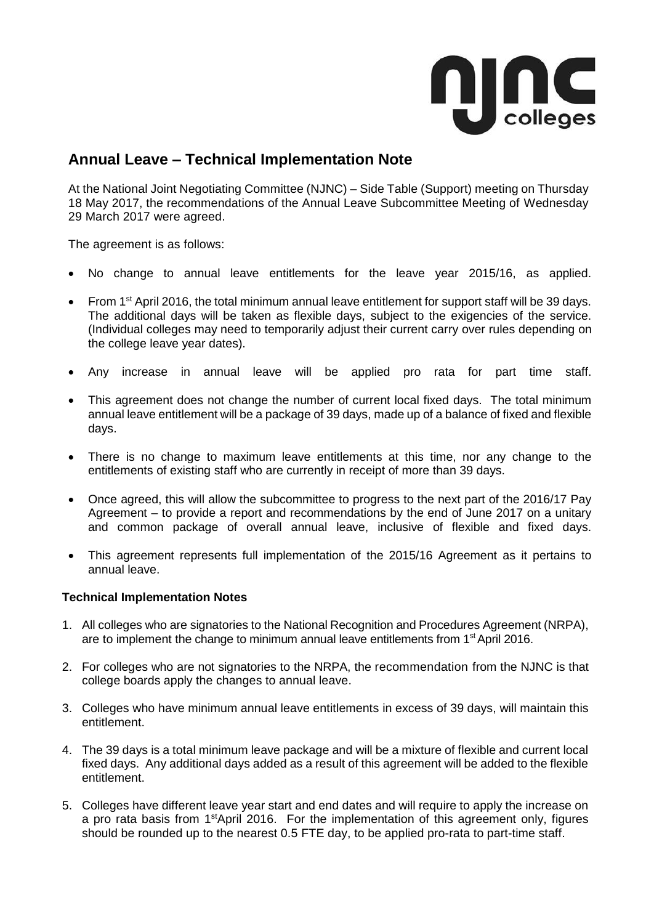

## **Annual Leave – Technical Implementation Note**

At the National Joint Negotiating Committee (NJNC) – Side Table (Support) meeting on Thursday 18 May 2017, the recommendations of the Annual Leave Subcommittee Meeting of Wednesday 29 March 2017 were agreed.

The agreement is as follows:

- No change to annual leave entitlements for the leave year 2015/16, as applied.
- From 1<sup>st</sup> April 2016, the total minimum annual leave entitlement for support staff will be 39 days. The additional days will be taken as flexible days, subject to the exigencies of the service. (Individual colleges may need to temporarily adjust their current carry over rules depending on the college leave year dates).
- Any increase in annual leave will be applied pro rata for part time staff.
- This agreement does not change the number of current local fixed days. The total minimum annual leave entitlement will be a package of 39 days, made up of a balance of fixed and flexible days.
- There is no change to maximum leave entitlements at this time, nor any change to the entitlements of existing staff who are currently in receipt of more than 39 days.
- Once agreed, this will allow the subcommittee to progress to the next part of the 2016/17 Pay Agreement – to provide a report and recommendations by the end of June 2017 on a unitary and common package of overall annual leave, inclusive of flexible and fixed days.
- This agreement represents full implementation of the 2015/16 Agreement as it pertains to annual leave.

## **Technical Implementation Notes**

- 1. All colleges who are signatories to the National Recognition and Procedures Agreement (NRPA), are to implement the change to minimum annual leave entitlements from  $1<sup>st</sup>$  April 2016.
- 2. For colleges who are not signatories to the NRPA, the recommendation from the NJNC is that college boards apply the changes to annual leave.
- 3. Colleges who have minimum annual leave entitlements in excess of 39 days, will maintain this entitlement.
- 4. The 39 days is a total minimum leave package and will be a mixture of flexible and current local fixed days. Any additional days added as a result of this agreement will be added to the flexible entitlement.
- 5. Colleges have different leave year start and end dates and will require to apply the increase on a pro rata basis from 1<sup>st</sup>April 2016. For the implementation of this agreement only, figures should be rounded up to the nearest 0.5 FTE day, to be applied pro-rata to part-time staff.